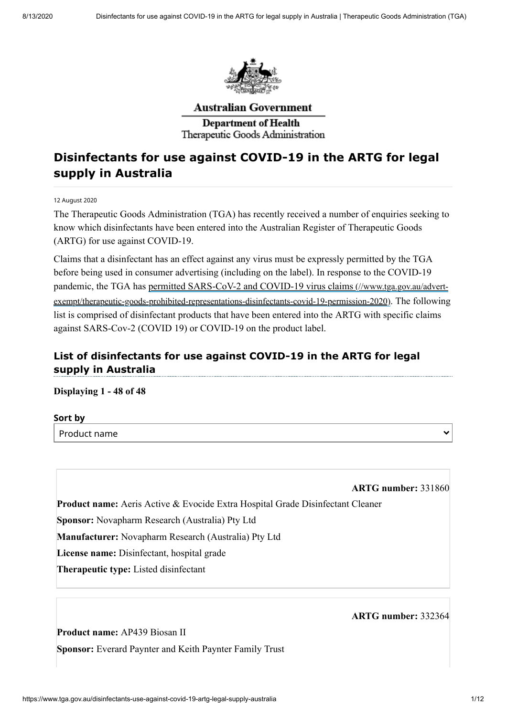

**Australian Government** 

**Department of Health** Therapeutic Goods Administration

# **Disinfectants for use against COVID-19 in the ARTG for legal supply in Australia**

#### 12 August 2020

The Therapeutic Goods Administration (TGA) has recently received a number of enquiries seeking to know which disinfectants have been entered into the Australian Register of Therapeutic Goods (ARTG) for use against COVID-19.

Claims that a disinfectant has an effect against any virus must be expressly permitted by the TGA before being used in consumer advertising (including on the label). In response to the COVID-19 pandemic, the TGA has permitted SARS-CoV-2 and COVID-19 virus claims (//www.tga.gov.au/advert[exempt/therapeutic-goods-prohibited-representations-disinfectants-covid-19-permission-2020\)](https://www.tga.gov.au/advert-exempt/therapeutic-goods-prohibited-representations-disinfectants-covid-19-permission-2020). The following list is comprised of disinfectant products that have been entered into the ARTG with specific claims against SARS-Cov-2 (COVID 19) or COVID-19 on the product label.

## **List of disinfectants for use against COVID-19 in the ARTG for legal supply in Australia**

#### **Displaying 1 - 48 of 48**

#### **Sort by**

Product name

**ARTG number:** 331860

**Product name:** Aeris Active & Evocide Extra Hospital Grade Disinfectant Cleaner

**Sponsor:** Novapharm Research (Australia) Pty Ltd

**Manufacturer:** Novapharm Research (Australia) Pty Ltd

**License name:** Disinfectant, hospital grade

**Therapeutic type:** Listed disinfectant

**ARTG number:** 332364

**Product name:** AP439 Biosan II **Sponsor:** Everard Paynter and Keith Paynter Family Trust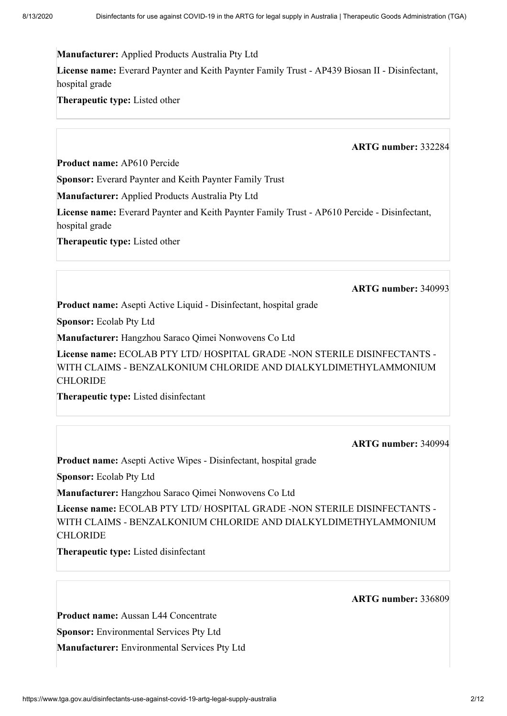#### **Manufacturer:** Applied Products Australia Pty Ltd

**License name:** Everard Paynter and Keith Paynter Family Trust - AP439 Biosan II - Disinfectant, hospital grade

**Therapeutic type:** Listed other

#### **ARTG number:** 332284

**Product name:** AP610 Percide

**Sponsor:** Everard Paynter and Keith Paynter Family Trust

**Manufacturer:** Applied Products Australia Pty Ltd

**License name:** Everard Paynter and Keith Paynter Family Trust - AP610 Percide - Disinfectant, hospital grade

**Therapeutic type:** Listed other

#### **ARTG number:** 340993

**Product name:** Asepti Active Liquid - Disinfectant, hospital grade

**Sponsor:** Ecolab Pty Ltd

**Manufacturer:** Hangzhou Saraco Qimei Nonwovens Co Ltd

**License name:** ECOLAB PTY LTD/ HOSPITAL GRADE -NON STERILE DISINFECTANTS - WITH CLAIMS - BENZALKONIUM CHLORIDE AND DIALKYLDIMETHYLAMMONIUM CHLORIDE

**Therapeutic type:** Listed disinfectant

## **ARTG number:** 340994

**Product name:** Asepti Active Wipes - Disinfectant, hospital grade

**Sponsor:** Ecolab Pty Ltd

**Manufacturer:** Hangzhou Saraco Qimei Nonwovens Co Ltd

**License name:** ECOLAB PTY LTD/ HOSPITAL GRADE -NON STERILE DISINFECTANTS - WITH CLAIMS - BENZALKONIUM CHLORIDE AND DIALKYLDIMETHYLAMMONIUM CHLORIDE

**Therapeutic type:** Listed disinfectant

#### **ARTG number:** 336809

**Product name:** Aussan L44 Concentrate

**Sponsor:** Environmental Services Pty Ltd

**Manufacturer:** Environmental Services Pty Ltd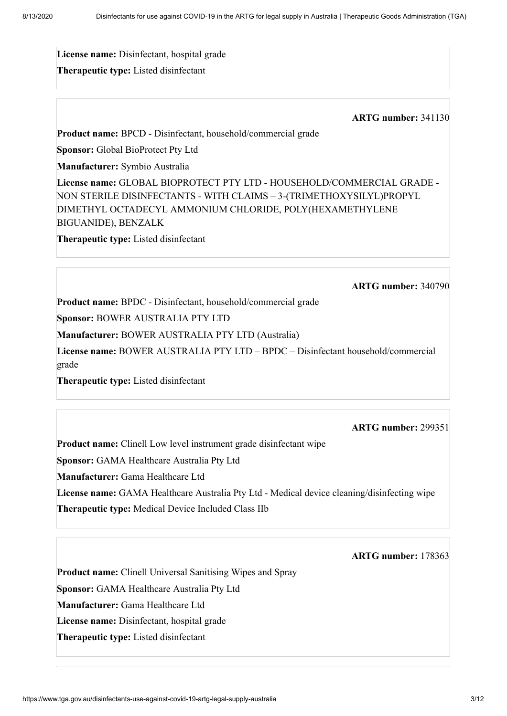#### **License name:** Disinfectant, hospital grade

**Therapeutic type:** Listed disinfectant

#### **ARTG number:** 341130

**Product name:** BPCD - Disinfectant, household/commercial grade

**Sponsor:** Global BioProtect Pty Ltd

**Manufacturer:** Symbio Australia

**License name:** GLOBAL BIOPROTECT PTY LTD - HOUSEHOLD/COMMERCIAL GRADE - NON STERILE DISINFECTANTS - WITH CLAIMS – 3-(TRIMETHOXYSILYL)PROPYL DIMETHYL OCTADECYL AMMONIUM CHLORIDE, POLY(HEXAMETHYLENE BIGUANIDE), BENZALK

**Therapeutic type:** Listed disinfectant

## **ARTG number:** 340790

**Product name:** BPDC - Disinfectant, household/commercial grade

**Sponsor:** BOWER AUSTRALIA PTY LTD

**Manufacturer:** BOWER AUSTRALIA PTY LTD (Australia)

**License name:** BOWER AUSTRALIA PTY LTD – BPDC – Disinfectant household/commercial grade

**Therapeutic type:** Listed disinfectant

#### **ARTG number:** 299351

**Product name:** Clinell Low level instrument grade disinfectant wipe

**Sponsor:** GAMA Healthcare Australia Pty Ltd

**Manufacturer:** Gama Healthcare Ltd

**License name:** GAMA Healthcare Australia Pty Ltd - Medical device cleaning/disinfecting wipe **Therapeutic type:** Medical Device Included Class IIb

#### **ARTG number:** 178363

**Product name:** Clinell Universal Sanitising Wipes and Spray

**Sponsor:** GAMA Healthcare Australia Pty Ltd

**Manufacturer:** Gama Healthcare Ltd

**License name:** Disinfectant, hospital grade

**Therapeutic type:** Listed disinfectant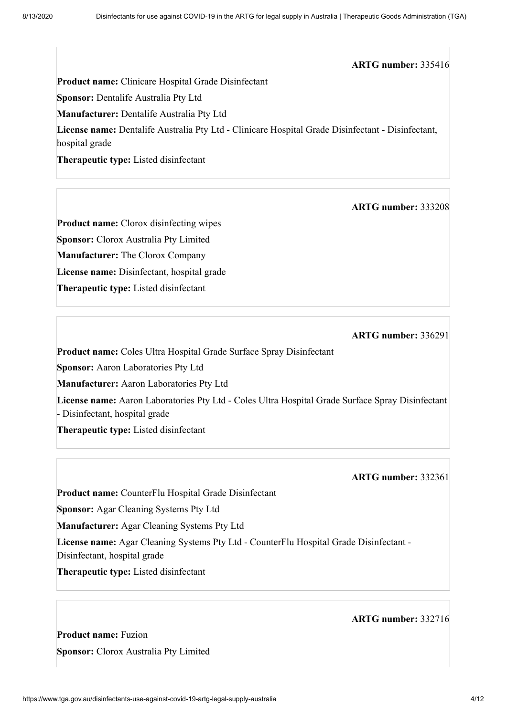**Product name:** Clinicare Hospital Grade Disinfectant

**Sponsor:** Dentalife Australia Pty Ltd

**Manufacturer:** Dentalife Australia Pty Ltd

**License name:** Dentalife Australia Pty Ltd - Clinicare Hospital Grade Disinfectant - Disinfectant, hospital grade

#### **Therapeutic type:** Listed disinfectant

#### **ARTG number:** 333208

**Product name:** Clorox disinfecting wipes **Sponsor:** Clorox Australia Pty Limited **Manufacturer:** The Clorox Company **License name:** Disinfectant, hospital grade **Therapeutic type:** Listed disinfectant

#### **ARTG number:** 336291

**Product name:** Coles Ultra Hospital Grade Surface Spray Disinfectant

**Sponsor:** Aaron Laboratories Pty Ltd

**Manufacturer:** Aaron Laboratories Pty Ltd

**License name:** Aaron Laboratories Pty Ltd - Coles Ultra Hospital Grade Surface Spray Disinfectant - Disinfectant, hospital grade

**Therapeutic type:** Listed disinfectant

## **ARTG number:** 332361

**Product name:** CounterFlu Hospital Grade Disinfectant

**Sponsor:** Agar Cleaning Systems Pty Ltd

**Manufacturer:** Agar Cleaning Systems Pty Ltd

**License name:** Agar Cleaning Systems Pty Ltd - CounterFlu Hospital Grade Disinfectant - Disinfectant, hospital grade

**Therapeutic type:** Listed disinfectant

#### **ARTG number:** 332716

**Product name:** Fuzion **Sponsor:** Clorox Australia Pty Limited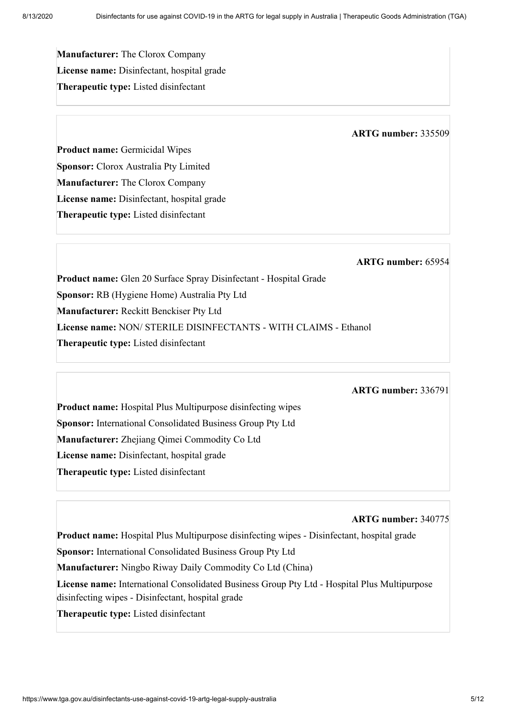**Manufacturer:** The Clorox Company **License name:** Disinfectant, hospital grade **Therapeutic type:** Listed disinfectant

#### **ARTG number:** 335509

**Product name:** Germicidal Wipes **Sponsor:** Clorox Australia Pty Limited **Manufacturer:** The Clorox Company **License name:** Disinfectant, hospital grade **Therapeutic type:** Listed disinfectant

## **ARTG number:** 65954

**Product name:** Glen 20 Surface Spray Disinfectant - Hospital Grade **Sponsor:** RB (Hygiene Home) Australia Pty Ltd **Manufacturer:** Reckitt Benckiser Pty Ltd **License name:** NON/ STERILE DISINFECTANTS - WITH CLAIMS - Ethanol **Therapeutic type:** Listed disinfectant

#### **ARTG number:** 336791

**Product name:** Hospital Plus Multipurpose disinfecting wipes **Sponsor:** International Consolidated Business Group Pty Ltd **Manufacturer:** Zhejiang Qimei Commodity Co Ltd **License name:** Disinfectant, hospital grade **Therapeutic type:** Listed disinfectant

#### **ARTG number:** 340775

**Product name:** Hospital Plus Multipurpose disinfecting wipes - Disinfectant, hospital grade

**Sponsor:** International Consolidated Business Group Pty Ltd

**Manufacturer:** Ningbo Riway Daily Commodity Co Ltd (China)

**License name:** International Consolidated Business Group Pty Ltd - Hospital Plus Multipurpose disinfecting wipes - Disinfectant, hospital grade

**Therapeutic type:** Listed disinfectant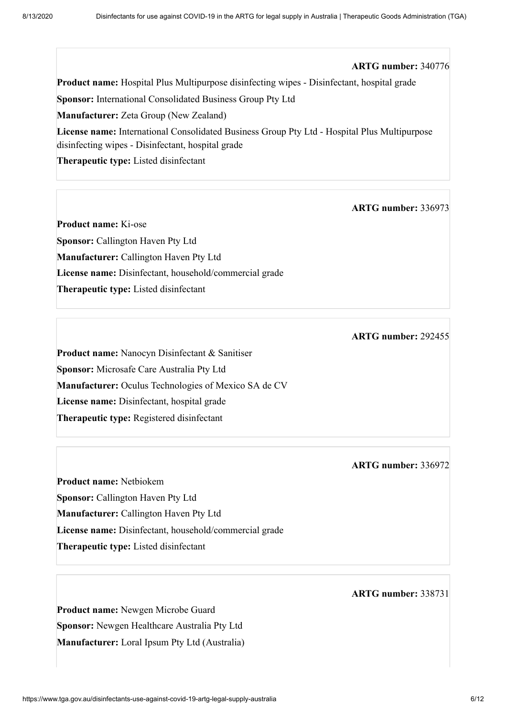**Product name:** Hospital Plus Multipurpose disinfecting wipes - Disinfectant, hospital grade

**Sponsor:** International Consolidated Business Group Pty Ltd

**Manufacturer:** Zeta Group (New Zealand)

**License name:** International Consolidated Business Group Pty Ltd - Hospital Plus Multipurpose disinfecting wipes - Disinfectant, hospital grade

**Therapeutic type:** Listed disinfectant

#### **ARTG number:** 336973

**Product name:** Ki-ose **Sponsor:** Callington Haven Pty Ltd **Manufacturer:** Callington Haven Pty Ltd **License name:** Disinfectant, household/commercial grade **Therapeutic type:** Listed disinfectant

#### **ARTG number:** 292455

**Product name:** Nanocyn Disinfectant & Sanitiser **Sponsor:** Microsafe Care Australia Pty Ltd **Manufacturer:** Oculus Technologies of Mexico SA de CV **License name:** Disinfectant, hospital grade **Therapeutic type:** Registered disinfectant

## **ARTG number:** 336972

**Product name:** Netbiokem **Sponsor:** Callington Haven Pty Ltd **Manufacturer:** Callington Haven Pty Ltd **License name:** Disinfectant, household/commercial grade **Therapeutic type:** Listed disinfectant

#### **ARTG number:** 338731

**Product name:** Newgen Microbe Guard **Sponsor:** Newgen Healthcare Australia Pty Ltd **Manufacturer:** Loral Ipsum Pty Ltd (Australia)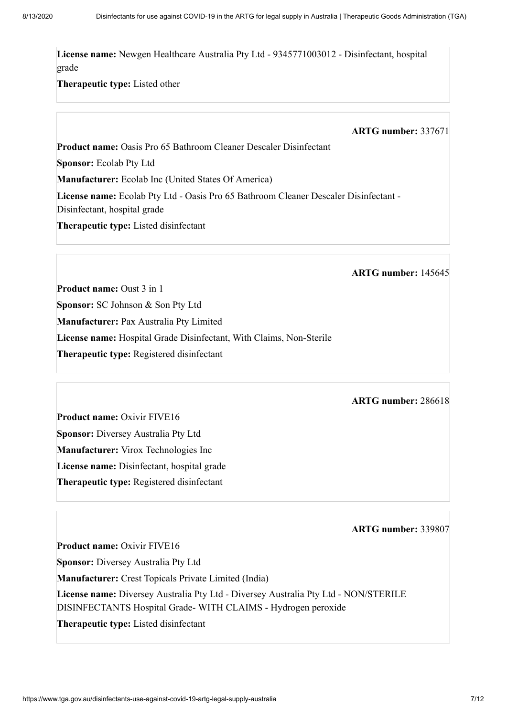**License name:** Newgen Healthcare Australia Pty Ltd - 9345771003012 - Disinfectant, hospital grade

**Therapeutic type:** Listed other

#### **ARTG number:** 337671

**Product name:** Oasis Pro 65 Bathroom Cleaner Descaler Disinfectant

**Sponsor:** Ecolab Pty Ltd

**Manufacturer:** Ecolab Inc (United States Of America)

**License name:** Ecolab Pty Ltd - Oasis Pro 65 Bathroom Cleaner Descaler Disinfectant -

Disinfectant, hospital grade

**Therapeutic type:** Listed disinfectant

#### **ARTG number:** 145645

**Product name:** Oust 3 in 1

**Sponsor:** SC Johnson & Son Pty Ltd

**Manufacturer:** Pax Australia Pty Limited

**License name:** Hospital Grade Disinfectant, With Claims, Non-Sterile

**Therapeutic type:** Registered disinfectant

## **ARTG number:** 286618

**Product name:** Oxivir FIVE16 **Sponsor:** Diversey Australia Pty Ltd **Manufacturer:** Virox Technologies Inc **License name:** Disinfectant, hospital grade **Therapeutic type:** Registered disinfectant

## **ARTG number:** 339807

**Product name:** Oxivir FIVE16

**Sponsor:** Diversey Australia Pty Ltd **Manufacturer:** Crest Topicals Private Limited (India)

**License name:** Diversey Australia Pty Ltd - Diversey Australia Pty Ltd - NON/STERILE

DISINFECTANTS Hospital Grade- WITH CLAIMS - Hydrogen peroxide

**Therapeutic type:** Listed disinfectant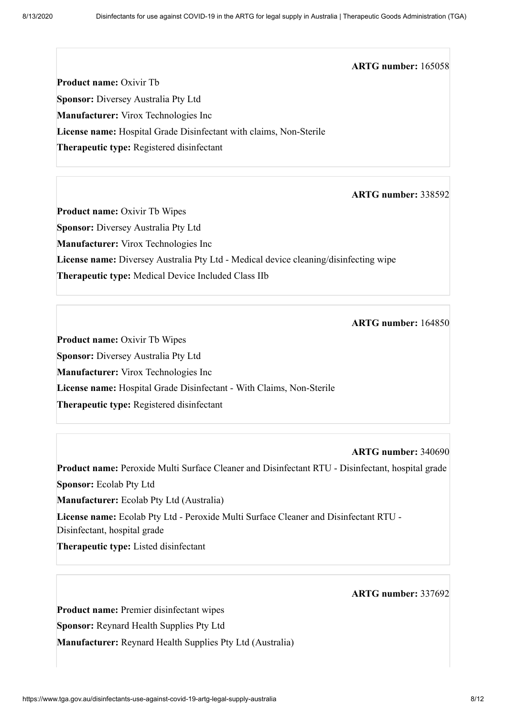**Product name:** Oxivir Tb **Sponsor:** Diversey Australia Pty Ltd **Manufacturer:** Virox Technologies Inc **License name:** Hospital Grade Disinfectant with claims, Non-Sterile **Therapeutic type:** Registered disinfectant

## **ARTG number:** 338592

**Product name:** Oxivir Tb Wipes **Sponsor:** Diversey Australia Pty Ltd **Manufacturer:** Virox Technologies Inc **License name:** Diversey Australia Pty Ltd - Medical device cleaning/disinfecting wipe **Therapeutic type:** Medical Device Included Class IIb

## **ARTG number:** 164850

**Product name:** Oxivir Tb Wipes **Sponsor:** Diversey Australia Pty Ltd **Manufacturer:** Virox Technologies Inc **License name:** Hospital Grade Disinfectant - With Claims, Non-Sterile **Therapeutic type:** Registered disinfectant

#### **ARTG number:** 340690

**Product name:** Peroxide Multi Surface Cleaner and Disinfectant RTU - Disinfectant, hospital grade **Sponsor:** Ecolab Pty Ltd

**Manufacturer:** Ecolab Pty Ltd (Australia)

**License name:** Ecolab Pty Ltd - Peroxide Multi Surface Cleaner and Disinfectant RTU - Disinfectant, hospital grade

**Therapeutic type:** Listed disinfectant

#### **ARTG number:** 337692

**Product name:** Premier disinfectant wipes **Sponsor:** Reynard Health Supplies Pty Ltd **Manufacturer:** Reynard Health Supplies Pty Ltd (Australia)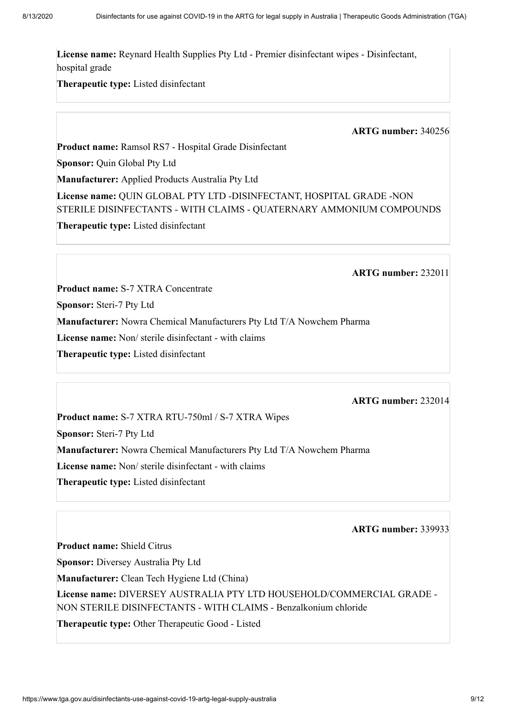**License name:** Reynard Health Supplies Pty Ltd - Premier disinfectant wipes - Disinfectant, hospital grade

**Therapeutic type:** Listed disinfectant

## **ARTG number:** 340256

**Product name:** Ramsol RS7 - Hospital Grade Disinfectant

**Sponsor:** Quin Global Pty Ltd

**Manufacturer:** Applied Products Australia Pty Ltd

**License name:** QUIN GLOBAL PTY LTD -DISINFECTANT, HOSPITAL GRADE -NON STERILE DISINFECTANTS - WITH CLAIMS - QUATERNARY AMMONIUM COMPOUNDS

**Therapeutic type:** Listed disinfectant

#### **ARTG number:** 232011

**Product name:** S-7 XTRA Concentrate

**Sponsor:** Steri-7 Pty Ltd

**Manufacturer:** Nowra Chemical Manufacturers Pty Ltd T/A Nowchem Pharma

**License name:** Non/ sterile disinfectant - with claims

**Therapeutic type:** Listed disinfectant

## **ARTG number:** 232014

**Product name:** S-7 XTRA RTU-750ml / S-7 XTRA Wipes

**Sponsor:** Steri-7 Pty Ltd

**Manufacturer:** Nowra Chemical Manufacturers Pty Ltd T/A Nowchem Pharma

**License name:** Non/ sterile disinfectant - with claims

**Therapeutic type:** Listed disinfectant

## **ARTG number:** 339933

**Product name:** Shield Citrus

**Sponsor:** Diversey Australia Pty Ltd

**Manufacturer:** Clean Tech Hygiene Ltd (China)

**License name:** DIVERSEY AUSTRALIA PTY LTD HOUSEHOLD/COMMERCIAL GRADE - NON STERILE DISINFECTANTS - WITH CLAIMS - Benzalkonium chloride

**Therapeutic type:** Other Therapeutic Good - Listed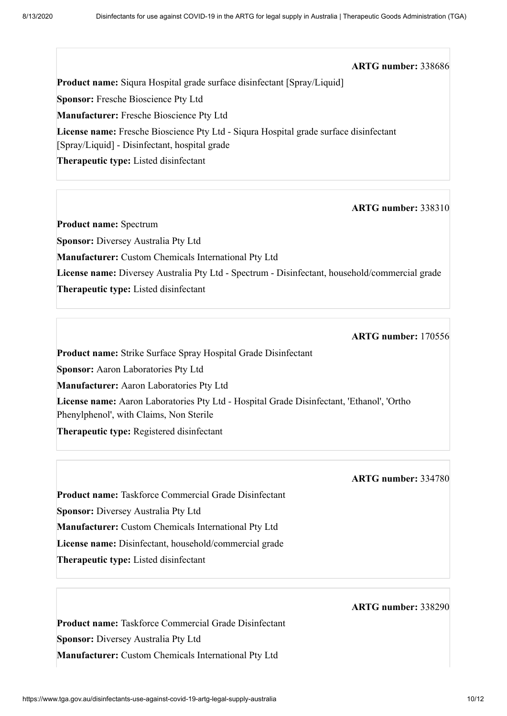**Product name:** Sigura Hospital grade surface disinfectant [Spray/Liquid]

**Sponsor:** Fresche Bioscience Pty Ltd

**Manufacturer:** Fresche Bioscience Pty Ltd

**License name:** Fresche Bioscience Pty Ltd - Siqura Hospital grade surface disinfectant

[Spray/Liquid] - Disinfectant, hospital grade

**Therapeutic type:** Listed disinfectant

## **ARTG number:** 338310

**Product name:** Spectrum

**Sponsor:** Diversey Australia Pty Ltd

**Manufacturer:** Custom Chemicals International Pty Ltd

**License name:** Diversey Australia Pty Ltd - Spectrum - Disinfectant, household/commercial grade

**Therapeutic type:** Listed disinfectant

#### **ARTG number:** 170556

**Product name:** Strike Surface Spray Hospital Grade Disinfectant

**Sponsor:** Aaron Laboratories Pty Ltd

**Manufacturer:** Aaron Laboratories Pty Ltd

**License name:** Aaron Laboratories Pty Ltd - Hospital Grade Disinfectant, 'Ethanol', 'Ortho

Phenylphenol', with Claims, Non Sterile

**Therapeutic type:** Registered disinfectant

#### **ARTG number:** 334780

**Product name:** Taskforce Commercial Grade Disinfectant **Sponsor:** Diversey Australia Pty Ltd **Manufacturer:** Custom Chemicals International Pty Ltd **License name:** Disinfectant, household/commercial grade **Therapeutic type:** Listed disinfectant

## **ARTG number:** 338290

**Product name:** Taskforce Commercial Grade Disinfectant **Sponsor:** Diversey Australia Pty Ltd **Manufacturer:** Custom Chemicals International Pty Ltd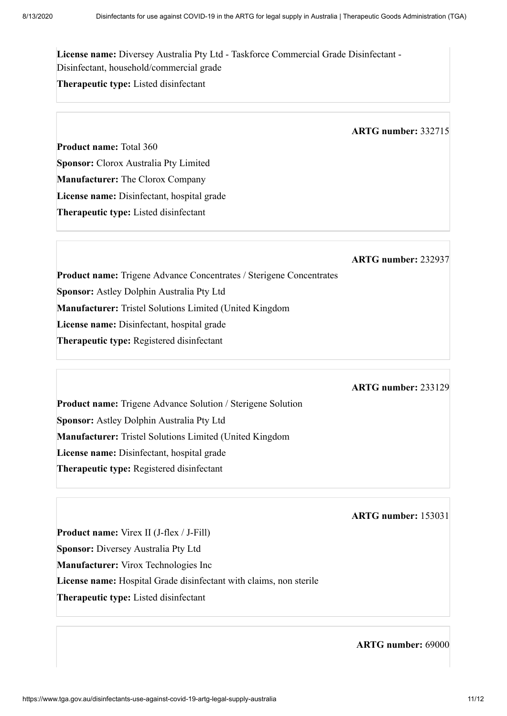**License name:** Diversey Australia Pty Ltd - Taskforce Commercial Grade Disinfectant - Disinfectant, household/commercial grade

**Therapeutic type:** Listed disinfectant

**ARTG number:** 332715

**Product name:** Total 360 **Sponsor:** Clorox Australia Pty Limited **Manufacturer:** The Clorox Company **License name:** Disinfectant, hospital grade **Therapeutic type:** Listed disinfectant

## **ARTG number:** 232937

**Product name:** Trigene Advance Concentrates / Sterigene Concentrates **Sponsor:** Astley Dolphin Australia Pty Ltd **Manufacturer:** Tristel Solutions Limited (United Kingdom **License name:** Disinfectant, hospital grade **Therapeutic type:** Registered disinfectant

## **ARTG number:** 233129

**Product name:** Trigene Advance Solution / Sterigene Solution **Sponsor:** Astley Dolphin Australia Pty Ltd **Manufacturer:** Tristel Solutions Limited (United Kingdom **License name:** Disinfectant, hospital grade **Therapeutic type:** Registered disinfectant

**ARTG number:** 153031

**Product name:** Virex II (J-flex / J-Fill) **Sponsor:** Diversey Australia Pty Ltd **Manufacturer:** Virox Technologies Inc **License name:** Hospital Grade disinfectant with claims, non sterile **Therapeutic type:** Listed disinfectant

#### **ARTG number:** 69000